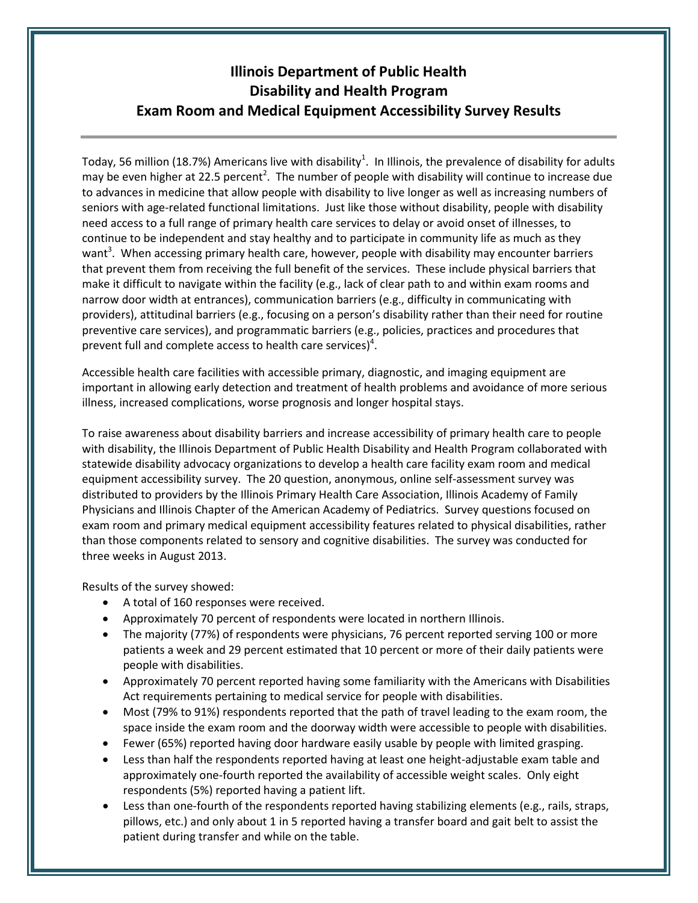## **Illinois Department of Public Health Disability and Health Program Exam Room and Medical Equipment Accessibility Survey Results**

Today, 56 million (18.7%) Americans live with disability<sup>1</sup>. In Illinois, the prevalence of disability for adults may be even higher at 22.5 percent<sup>2</sup>. The number of people with disability will continue to increase due to advances in medicine that allow people with disability to live longer as well as increasing numbers of seniors with age-related functional limitations. Just like those without disability, people with disability need access to a full range of primary health care services to delay or avoid onset of illnesses, to continue to be independent and stay healthy and to participate in community life as much as they want<sup>3</sup>. When accessing primary health care, however, people with disability may encounter barriers that prevent them from receiving the full benefit of the services. These include physical barriers that make it difficult to navigate within the facility (e.g., lack of clear path to and within exam rooms and narrow door width at entrances), communication barriers (e.g., difficulty in communicating with providers), attitudinal barriers (e.g., focusing on a person's disability rather than their need for routine preventive care services), and programmatic barriers (e.g., policies, practices and procedures that prevent full and complete access to health care services)<sup>4</sup>.

Accessible health care facilities with accessible primary, diagnostic, and imaging equipment are important in allowing early detection and treatment of health problems and avoidance of more serious illness, increased complications, worse prognosis and longer hospital stays.

To raise awareness about disability barriers and increase accessibility of primary health care to people with disability, the Illinois Department of Public Health Disability and Health Program collaborated with statewide disability advocacy organizations to develop a health care facility exam room and medical equipment accessibility survey. The 20 question, anonymous, online self-assessment survey was distributed to providers by the Illinois Primary Health Care Association, Illinois Academy of Family Physicians and Illinois Chapter of the American Academy of Pediatrics. Survey questions focused on exam room and primary medical equipment accessibility features related to physical disabilities, rather than those components related to sensory and cognitive disabilities. The survey was conducted for three weeks in August 2013.

Results of the survey showed:

- A total of 160 responses were received.
- Approximately 70 percent of respondents were located in northern Illinois.
- The majority (77%) of respondents were physicians, 76 percent reported serving 100 or more patients a week and 29 percent estimated that 10 percent or more of their daily patients were people with disabilities.
- Approximately 70 percent reported having some familiarity with the Americans with Disabilities Act requirements pertaining to medical service for people with disabilities.
- Most (79% to 91%) respondents reported that the path of travel leading to the exam room, the space inside the exam room and the doorway width were accessible to people with disabilities.
- Fewer (65%) reported having door hardware easily usable by people with limited grasping.
- Less than half the respondents reported having at least one height-adjustable exam table and approximately one-fourth reported the availability of accessible weight scales. Only eight respondents (5%) reported having a patient lift.
- Less than one-fourth of the respondents reported having stabilizing elements (e.g., rails, straps, pillows, etc.) and only about 1 in 5 reported having a transfer board and gait belt to assist the patient during transfer and while on the table.